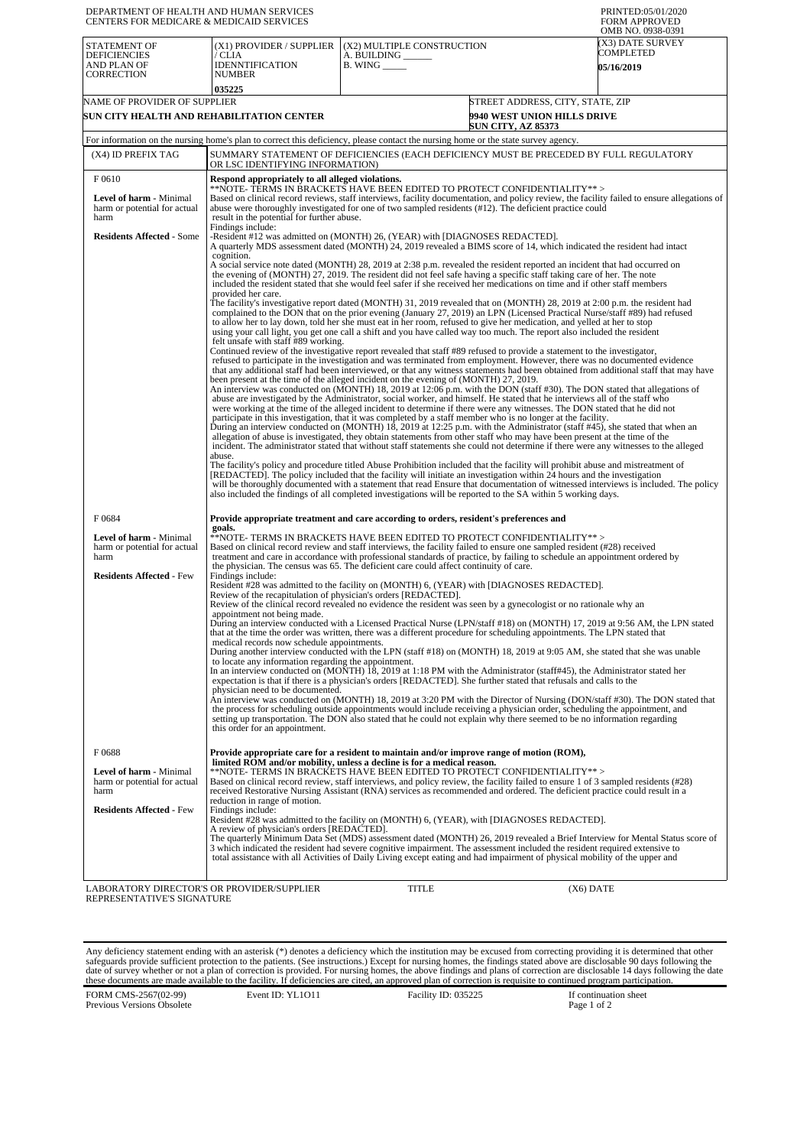| DEPARTMENT OF HEALTH AND HUMAN SERVICES<br>CENTERS FOR MEDICARE & MEDICAID SERVICES |                                                                                                                                                                                                                                                                                                                                                                                                                                                                                                                                                                                                                                                                                                                                                                                                                                                                                                                                                                                                                                                                                                                              |                                                                   |                                                                                                     | PRINTED:05/01/2020<br><b>FORM APPROVED</b><br>OMB NO. 0938-0391 |  |  |
|-------------------------------------------------------------------------------------|------------------------------------------------------------------------------------------------------------------------------------------------------------------------------------------------------------------------------------------------------------------------------------------------------------------------------------------------------------------------------------------------------------------------------------------------------------------------------------------------------------------------------------------------------------------------------------------------------------------------------------------------------------------------------------------------------------------------------------------------------------------------------------------------------------------------------------------------------------------------------------------------------------------------------------------------------------------------------------------------------------------------------------------------------------------------------------------------------------------------------|-------------------------------------------------------------------|-----------------------------------------------------------------------------------------------------|-----------------------------------------------------------------|--|--|
| <b>STATEMENT OF</b><br><b>DEFICIENCIES</b><br>AND PLAN OF<br><b>CORRECTION</b>      | (X1) PROVIDER / SUPPLIER<br>/ CLIA<br><b>IDENNTIFICATION</b><br><b>NUMBER</b><br>035225                                                                                                                                                                                                                                                                                                                                                                                                                                                                                                                                                                                                                                                                                                                                                                                                                                                                                                                                                                                                                                      | (X2) MULTIPLE CONSTRUCTION<br>A. BUILDING<br><b>B.</b> WING _____ |                                                                                                     | (X3) DATE SURVEY<br>COMPLETED<br><b>05/16/2019</b>              |  |  |
| NAME OF PROVIDER OF SUPPLIER<br>SUN CITY HEALTH AND REHABILITATION CENTER           |                                                                                                                                                                                                                                                                                                                                                                                                                                                                                                                                                                                                                                                                                                                                                                                                                                                                                                                                                                                                                                                                                                                              |                                                                   | STREET ADDRESS, CITY, STATE, ZIP<br><b>9940 WEST UNION HILLS DRIVE</b><br><b>SUN CITY, AZ 85373</b> |                                                                 |  |  |
|                                                                                     | For information on the nursing home's plan to correct this deficiency, please contact the nursing home or the state survey agency.                                                                                                                                                                                                                                                                                                                                                                                                                                                                                                                                                                                                                                                                                                                                                                                                                                                                                                                                                                                           |                                                                   |                                                                                                     |                                                                 |  |  |
| (X4) ID PREFIX TAG                                                                  | SUMMARY STATEMENT OF DEFICIENCIES (EACH DEFICIENCY MUST BE PRECEDED BY FULL REGULATORY<br>OR LSC IDENTIFYING INFORMATION)                                                                                                                                                                                                                                                                                                                                                                                                                                                                                                                                                                                                                                                                                                                                                                                                                                                                                                                                                                                                    |                                                                   |                                                                                                     |                                                                 |  |  |
| F0610                                                                               | Respond appropriately to all alleged violations.                                                                                                                                                                                                                                                                                                                                                                                                                                                                                                                                                                                                                                                                                                                                                                                                                                                                                                                                                                                                                                                                             |                                                                   |                                                                                                     |                                                                 |  |  |
| Level of harm - Minimal<br>harm or potential for actual<br>harm                     | **NOTE- TERMS IN BRACKETS HAVE BEEN EDITED TO PROTECT CONFIDENTIALITY**><br>Based on clinical record reviews, staff interviews, facility documentation, and policy review, the facility failed to ensure allegations of<br>abuse were thoroughly investigated for one of two sampled residents (#12). The deficient practice could<br>result in the potential for further abuse.<br>Findings include:                                                                                                                                                                                                                                                                                                                                                                                                                                                                                                                                                                                                                                                                                                                        |                                                                   |                                                                                                     |                                                                 |  |  |
| <b>Residents Affected - Some</b>                                                    | -Resident #12 was admitted on (MONTH) 26, (YEAR) with [DIAGNOSES REDACTED].<br>A quarterly MDS assessment dated (MONTH) 24, 2019 revealed a BIMS score of 14, which indicated the resident had intact<br>cognition.                                                                                                                                                                                                                                                                                                                                                                                                                                                                                                                                                                                                                                                                                                                                                                                                                                                                                                          |                                                                   |                                                                                                     |                                                                 |  |  |
|                                                                                     | A social service note dated (MONTH) 28, 2019 at 2:38 p.m. revealed the resident reported an incident that had occurred on<br>the evening of (MONTH) 27, 2019. The resident did not feel safe having a specific staff taking care of her. The note<br>included the resident stated that she would feel safer if she received her medications on time and if other staff members<br>provided her care.                                                                                                                                                                                                                                                                                                                                                                                                                                                                                                                                                                                                                                                                                                                         |                                                                   |                                                                                                     |                                                                 |  |  |
|                                                                                     | The facility's investigative report dated (MONTH) 31, 2019 revealed that on (MONTH) 28, 2019 at 2:00 p.m. the resident had<br>complained to the DON that on the prior evening (January 27, 2019) an LPN (Licensed Practical Nurse/staff #89) had refused<br>to allow her to lay down, told her she must eat in her room, refused to give her medication, and yelled at her to stop<br>using your call light, you get one call a shift and you have called way too much. The report also included the resident<br>felt unsafe with staff #89 working.                                                                                                                                                                                                                                                                                                                                                                                                                                                                                                                                                                         |                                                                   |                                                                                                     |                                                                 |  |  |
|                                                                                     | Continued review of the investigative report revealed that staff #89 refused to provide a statement to the investigator,<br>refused to participate in the investigation and was terminated from employment. However, there was no documented evidence<br>that any additional staff had been interviewed, or that any witness statements had been obtained from additional staff that may have<br>been present at the time of the alleged incident on the evening of (MONTH) 27, 2019.<br>An interview was conducted on (MONTH) 18, 2019 at 12:06 p.m. with the DON (staff #30). The DON stated that allegations of<br>abuse are investigated by the Administrator, social worker, and himself. He stated that he interviews all of the staff who<br>were working at the time of the alleged incident to determine if there were any witnesses. The DON stated that he did not<br>participate in this investigation, that it was completed by a staff member who is no longer at the facility.<br>During an interview conducted on (MONTH) 18, 2019 at 12:25 p.m. with the Administrator (staff #45), she stated that when an |                                                                   |                                                                                                     |                                                                 |  |  |
|                                                                                     | allegation of abuse is investigated, they obtain statements from other staff who may have been present at the time of the<br>incident. The administrator stated that without staff statements she could not determine if there were any witnesses to the alleged<br>abuse.<br>The facility's policy and procedure titled Abuse Prohibition included that the facility will prohibit abuse and mistreatment of<br>[REDACTED]. The policy included that the facility will initiate an investigation within 24 hours and the investigation<br>will be thoroughly documented with a statement that read Ensure that documentation of witnessed interviews is included. The policy<br>also included the findings of all completed investigations will be reported to the SA within 5 working days.                                                                                                                                                                                                                                                                                                                                |                                                                   |                                                                                                     |                                                                 |  |  |
| F0684                                                                               | Provide appropriate treatment and care according to orders, resident's preferences and<br>goals.                                                                                                                                                                                                                                                                                                                                                                                                                                                                                                                                                                                                                                                                                                                                                                                                                                                                                                                                                                                                                             |                                                                   |                                                                                                     |                                                                 |  |  |
| Level of harm - Minimal<br>harm or potential for actual<br>harm                     | **NOTE- TERMS IN BRACKETS HAVE BEEN EDITED TO PROTECT CONFIDENTIALITY**><br>Based on clinical record review and staff interviews, the facility failed to ensure one sampled resident (#28) received<br>treatment and care in accordance with professional standards of practice, by failing to schedule an appointment ordered by<br>the physician. The census was 65. The deficient care could affect continuity of care.                                                                                                                                                                                                                                                                                                                                                                                                                                                                                                                                                                                                                                                                                                   |                                                                   |                                                                                                     |                                                                 |  |  |
| <b>Residents Affected - Few</b>                                                     | Findings include:<br>Resident #28 was admitted to the facility on (MONTH) 6, (YEAR) with [DIAGNOSES REDACTED].<br>Review of the recapitulation of physician's orders [REDACTED].                                                                                                                                                                                                                                                                                                                                                                                                                                                                                                                                                                                                                                                                                                                                                                                                                                                                                                                                             |                                                                   |                                                                                                     |                                                                 |  |  |
|                                                                                     | Review of the clinical record revealed no evidence the resident was seen by a gynecologist or no rationale why an<br>appointment not being made.                                                                                                                                                                                                                                                                                                                                                                                                                                                                                                                                                                                                                                                                                                                                                                                                                                                                                                                                                                             |                                                                   |                                                                                                     |                                                                 |  |  |
|                                                                                     | During an interview conducted with a Licensed Practical Nurse (LPN/staff #18) on (MONTH) 17, 2019 at 9:56 AM, the LPN stated<br>that at the time the order was written, there was a different procedure for scheduling appointments. The LPN stated that<br>medical records now schedule appointments.                                                                                                                                                                                                                                                                                                                                                                                                                                                                                                                                                                                                                                                                                                                                                                                                                       |                                                                   |                                                                                                     |                                                                 |  |  |
|                                                                                     | During another interview conducted with the LPN (staff #18) on (MONTH) 18, 2019 at 9:05 AM, she stated that she was unable<br>to locate any information regarding the appointment.<br>In an interview conducted on (MONTH) 18, 2019 at 1:18 PM with the Administrator (staff#45), the Administrator stated her                                                                                                                                                                                                                                                                                                                                                                                                                                                                                                                                                                                                                                                                                                                                                                                                               |                                                                   |                                                                                                     |                                                                 |  |  |
|                                                                                     | expectation is that if there is a physician's orders [REDACTED]. She further stated that refusals and calls to the<br>physician need to be documented.<br>An interview was conducted on (MONTH) 18, 2019 at 3:20 PM with the Director of Nursing (DON/staff #30). The DON stated that<br>the process for scheduling outside appointments would include receiving a physician order, scheduling the appointment, and<br>setting up transportation. The DON also stated that he could not explain why there seemed to be no information regarding<br>this order for an appointment.                                                                                                                                                                                                                                                                                                                                                                                                                                                                                                                                            |                                                                   |                                                                                                     |                                                                 |  |  |
| F0688                                                                               | Provide appropriate care for a resident to maintain and/or improve range of motion (ROM),<br>limited ROM and/or mobility, unless a decline is for a medical reason.                                                                                                                                                                                                                                                                                                                                                                                                                                                                                                                                                                                                                                                                                                                                                                                                                                                                                                                                                          |                                                                   |                                                                                                     |                                                                 |  |  |
| Level of harm - Minimal<br>harm or potential for actual<br>harm                     | **NOTE- TERMS IN BRACKETS HAVE BEEN EDITED TO PROTECT CONFIDENTIALITY**><br>Based on clinical record review, staff interviews, and policy review, the facility failed to ensure 1 of 3 sampled residents (#28)<br>received Restorative Nursing Assistant (RNA) services as recommended and ordered. The deficient practice could result in a<br>reduction in range of motion.                                                                                                                                                                                                                                                                                                                                                                                                                                                                                                                                                                                                                                                                                                                                                |                                                                   |                                                                                                     |                                                                 |  |  |
| <b>Residents Affected - Few</b>                                                     | Findings include:<br>Resident #28 was admitted to the facility on (MONTH) 6, (YEAR), with [DIAGNOSES REDACTED].<br>A review of physician's orders [REDACTED].<br>The quarterly Minimum Data Set (MDS) assessment dated (MONTH) 26, 2019 revealed a Brief Interview for Mental Status score of<br>3 which indicated the resident had severe cognitive impairment. The assessment included the resident required extensive to                                                                                                                                                                                                                                                                                                                                                                                                                                                                                                                                                                                                                                                                                                  |                                                                   |                                                                                                     |                                                                 |  |  |
| LABORATORY DIRECTOR'S OR PROVIDER/SUPPLIER<br>REPRESENTATIVE'S SIGNATURE            | total assistance with all Activities of Daily Living except eating and had impairment of physical mobility of the upper and                                                                                                                                                                                                                                                                                                                                                                                                                                                                                                                                                                                                                                                                                                                                                                                                                                                                                                                                                                                                  | TITLE                                                             | (X6) DATE                                                                                           |                                                                 |  |  |

Any deficiency statement ending with an asterisk (\*) denotes a deficiency which the institution may be excused from correcting providing it is determined that other safeguards provide sufficient protection to the patients.

FORM CMS-2567(02-99) Previous Versions Obsolete

If continuation sheet<br>Page 1 of 2